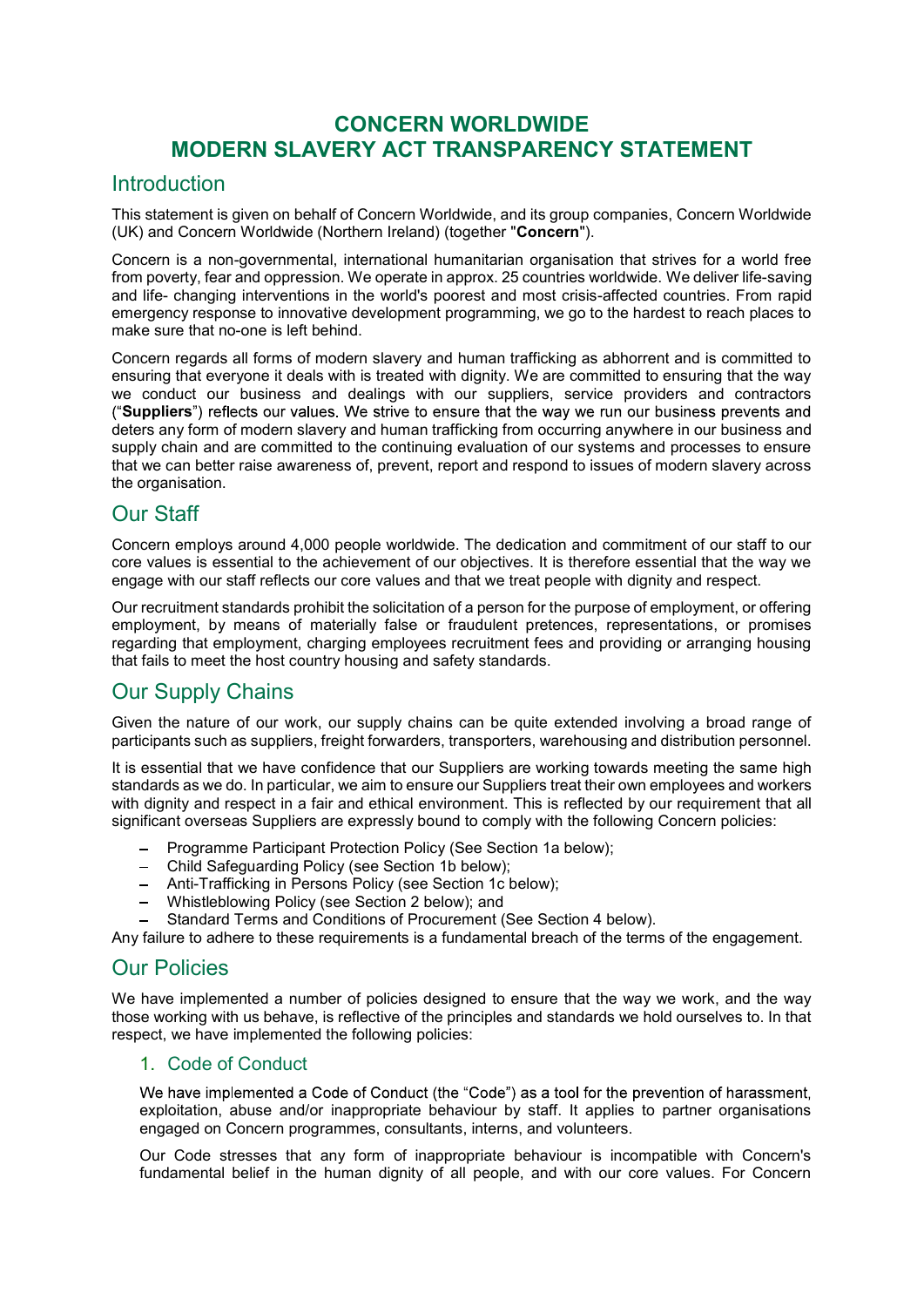# CONCERN WORLDWIDE MODERN SLAVERY ACT TRANSPARENCY STATEMENT

## Introduction

This statement is given on behalf of Concern Worldwide, and its group companies, Concern Worldwide (UK) and Concern Worldwide (Northern Ireland) (together "Concern").

Concern is a non-governmental, international humanitarian organisation that strives for a world free from poverty, fear and oppression. We operate in approx. 25 countries worldwide. We deliver life-saving and life- changing interventions in the world's poorest and most crisis-affected countries. From rapid emergency response to innovative development programming, we go to the hardest to reach places to make sure that no-one is left behind.

Concern regards all forms of modern slavery and human trafficking as abhorrent and is committed to ensuring that everyone it deals with is treated with dignity. We are committed to ensuring that the way we conduct our business and dealings with our suppliers, service providers and contractors ("Suppliers") reflects our values. We strive to ensure that the way we run our business prevents and deters any form of modern slavery and human trafficking from occurring anywhere in our business and supply chain and are committed to the continuing evaluation of our systems and processes to ensure that we can better raise awareness of, prevent, report and respond to issues of modern slavery across the organisation.

# Our Staff

Concern employs around 4,000 people worldwide. The dedication and commitment of our staff to our core values is essential to the achievement of our objectives. It is therefore essential that the way we engage with our staff reflects our core values and that we treat people with dignity and respect.

Our recruitment standards prohibit the solicitation of a person for the purpose of employment, or offering employment, by means of materially false or fraudulent pretences, representations, or promises regarding that employment, charging employees recruitment fees and providing or arranging housing that fails to meet the host country housing and safety standards.

# Our Supply Chains

Given the nature of our work, our supply chains can be quite extended involving a broad range of participants such as suppliers, freight forwarders, transporters, warehousing and distribution personnel.

It is essential that we have confidence that our Suppliers are working towards meeting the same high standards as we do. In particular, we aim to ensure our Suppliers treat their own employees and workers with dignity and respect in a fair and ethical environment. This is reflected by our requirement that all significant overseas Suppliers are expressly bound to comply with the following Concern policies:

- Programme Participant Protection Policy (See Section 1a below);
- Child Safeguarding Policy (see Section 1b below);
- Anti-Trafficking in Persons Policy (see Section 1c below);
- Whistleblowing Policy (see Section 2 below); and
- Standard Terms and Conditions of Procurement (See Section 4 below).

Any failure to adhere to these requirements is a fundamental breach of the terms of the engagement.

# Our Policies

We have implemented a number of policies designed to ensure that the way we work, and the way those working with us behave, is reflective of the principles and standards we hold ourselves to. In that respect, we have implemented the following policies:

### 1. Code of Conduct

We have implemented a Code of Conduct (the "Code") as a tool for the prevention of harassment, exploitation, abuse and/or inappropriate behaviour by staff. It applies to partner organisations engaged on Concern programmes, consultants, interns, and volunteers.

Our Code stresses that any form of inappropriate behaviour is incompatible with Concern's fundamental belief in the human dignity of all people, and with our core values. For Concern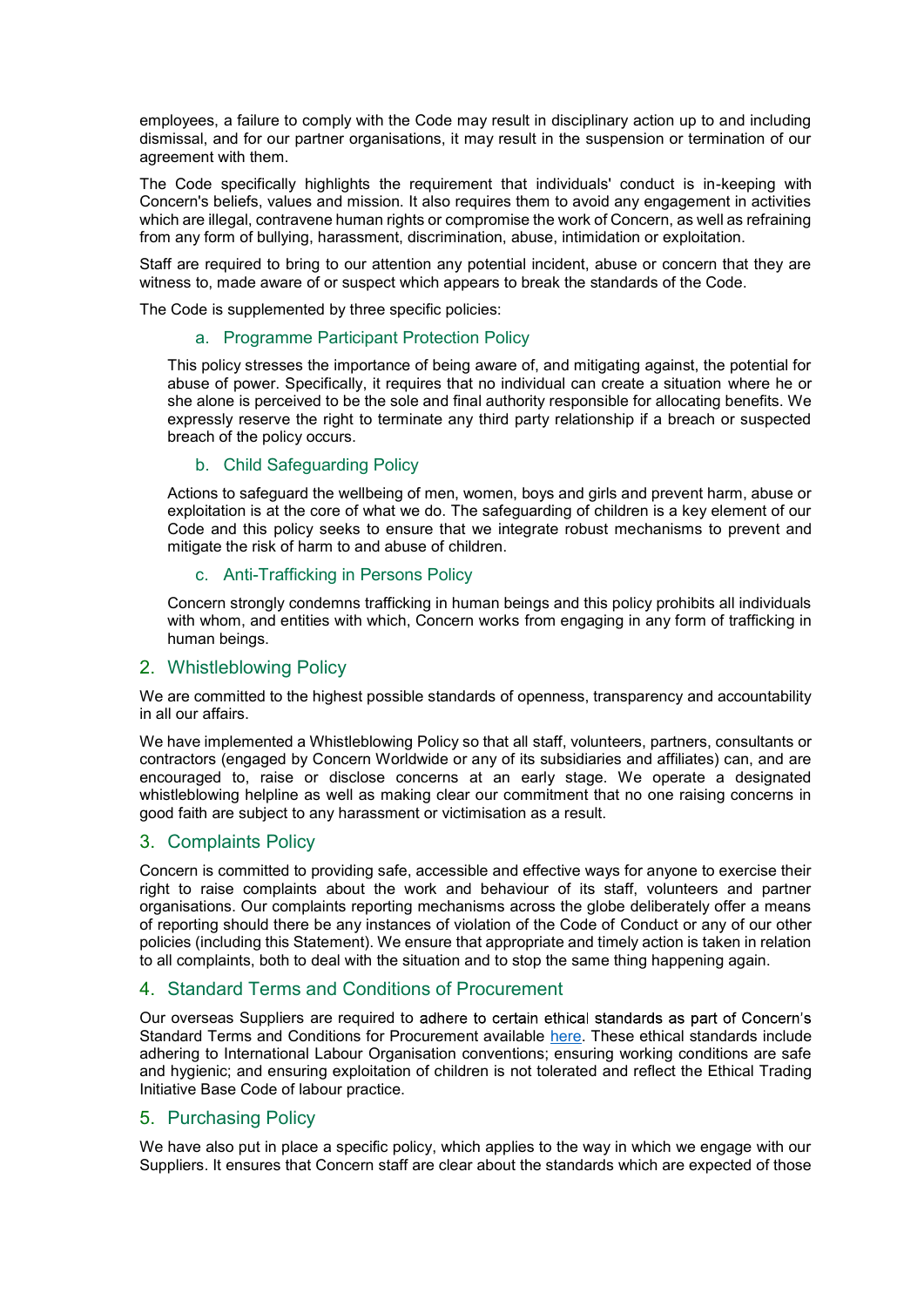employees, a failure to comply with the Code may result in disciplinary action up to and including dismissal, and for our partner organisations, it may result in the suspension or termination of our agreement with them.

The Code specifically highlights the requirement that individuals' conduct is in-keeping with Concern's beliefs, values and mission. It also requires them to avoid any engagement in activities which are illegal, contravene human rights or compromise the work of Concern, as well as refraining from any form of bullying, harassment, discrimination, abuse, intimidation or exploitation.

Staff are required to bring to our attention any potential incident, abuse or concern that they are witness to, made aware of or suspect which appears to break the standards of the Code.

The Code is supplemented by three specific policies:

#### a. Programme Participant Protection Policy

This policy stresses the importance of being aware of, and mitigating against, the potential for abuse of power. Specifically, it requires that no individual can create a situation where he or she alone is perceived to be the sole and final authority responsible for allocating benefits. We expressly reserve the right to terminate any third party relationship if a breach or suspected breach of the policy occurs.

#### b. Child Safeguarding Policy

Actions to safeguard the wellbeing of men, women, boys and girls and prevent harm, abuse or exploitation is at the core of what we do. The safeguarding of children is a key element of our Code and this policy seeks to ensure that we integrate robust mechanisms to prevent and mitigate the risk of harm to and abuse of children.

#### c. Anti-Trafficking in Persons Policy

Concern strongly condemns trafficking in human beings and this policy prohibits all individuals with whom, and entities with which, Concern works from engaging in any form of trafficking in human beings.

#### 2. Whistleblowing Policy

We are committed to the highest possible standards of openness, transparency and accountability in all our affairs.

We have implemented a Whistleblowing Policy so that all staff, volunteers, partners, consultants or contractors (engaged by Concern Worldwide or any of its subsidiaries and affiliates) can, and are encouraged to, raise or disclose concerns at an early stage. We operate a designated whistleblowing helpline as well as making clear our commitment that no one raising concerns in good faith are subject to any harassment or victimisation as a result.

### 3. Complaints Policy

Concern is committed to providing safe, accessible and effective ways for anyone to exercise their right to raise complaints about the work and behaviour of its staff, volunteers and partner organisations. Our complaints reporting mechanisms across the globe deliberately offer a means of reporting should there be any instances of violation of the Code of Conduct or any of our other policies (including this Statement). We ensure that appropriate and timely action is taken in relation to all complaints, both to deal with the situation and to stop the same thing happening again.

#### 4. Standard Terms and Conditions of Procurement

Our overseas Suppliers are required to adhere to certain ethical standards as part of Concern's Standard Terms and Conditions for Procurement available here. These ethical standards include adhering to International Labour Organisation conventions; ensuring working conditions are safe and hygienic; and ensuring exploitation of children is not tolerated and reflect the Ethical Trading Initiative Base Code of labour practice.

### 5. Purchasing Policy

We have also put in place a specific policy, which applies to the way in which we engage with our Suppliers. It ensures that Concern staff are clear about the standards which are expected of those